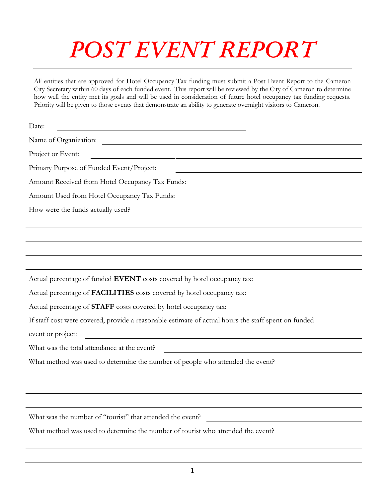## *POST EVENT REPORT*

All entities that are approved for Hotel Occupancy Tax funding must submit a Post Event Report to the Cameron City Secretary within 60 days of each funded event. This report will be reviewed by the City of Cameron to determine how well the entity met its goals and will be used in consideration of future hotel occupancy tax funding requests. Priority will be given to those events that demonstrate an ability to generate overnight visitors to Cameron.

| Date:                                                                                               |  |  |  |  |  |
|-----------------------------------------------------------------------------------------------------|--|--|--|--|--|
| Name of Organization:                                                                               |  |  |  |  |  |
| Project or Event:                                                                                   |  |  |  |  |  |
| Primary Purpose of Funded Event/Project:                                                            |  |  |  |  |  |
| Amount Received from Hotel Occupancy Tax Funds:<br><u> 1989 - Johann Stein, fransk politik (</u>    |  |  |  |  |  |
| Amount Used from Hotel Occupancy Tax Funds:                                                         |  |  |  |  |  |
| How were the funds actually used?                                                                   |  |  |  |  |  |
|                                                                                                     |  |  |  |  |  |
|                                                                                                     |  |  |  |  |  |
|                                                                                                     |  |  |  |  |  |
|                                                                                                     |  |  |  |  |  |
| Actual percentage of funded EVENT costs covered by hotel occupancy tax:                             |  |  |  |  |  |
| Actual percentage of FACILITIES costs covered by hotel occupancy tax:                               |  |  |  |  |  |
|                                                                                                     |  |  |  |  |  |
| If staff cost were covered, provide a reasonable estimate of actual hours the staff spent on funded |  |  |  |  |  |
| event or project:<br><u> 1980 - Johann Barnett, fransk politik (f. 1980)</u>                        |  |  |  |  |  |
| What was the total attendance at the event?                                                         |  |  |  |  |  |
| What method was used to determine the number of people who attended the event?                      |  |  |  |  |  |
|                                                                                                     |  |  |  |  |  |
|                                                                                                     |  |  |  |  |  |
|                                                                                                     |  |  |  |  |  |
| What was the number of "tourist" that attended the event?                                           |  |  |  |  |  |
| What method was used to determine the number of tourist who attended the event?                     |  |  |  |  |  |
|                                                                                                     |  |  |  |  |  |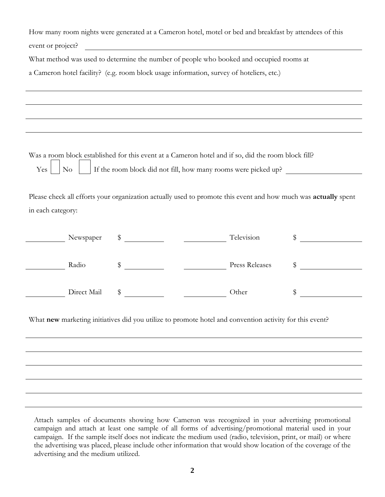| How many room nights were generated at a Cameron hotel, motel or bed and breakfast by attendees of this<br>event or project?<br><u> 1980 - Johann Barbara, martin amerikan basar dan berasal dan berasal dalam basar dalam basar dalam basar dala</u> |             |    |                                                                                   |                |               |  |
|-------------------------------------------------------------------------------------------------------------------------------------------------------------------------------------------------------------------------------------------------------|-------------|----|-----------------------------------------------------------------------------------|----------------|---------------|--|
| What method was used to determine the number of people who booked and occupied rooms at                                                                                                                                                               |             |    |                                                                                   |                |               |  |
| a Cameron hotel facility? (e.g. room block usage information, survey of hoteliers, etc.)                                                                                                                                                              |             |    |                                                                                   |                |               |  |
|                                                                                                                                                                                                                                                       |             |    |                                                                                   |                |               |  |
|                                                                                                                                                                                                                                                       |             |    | ,我们也不会有一个人的人,我们也不会有一个人的人,我们也不会有一个人的人。""我们,我们也不会有一个人的人,我们也不会有一个人的人,我们也不会有一个人的人。""我 |                |               |  |
|                                                                                                                                                                                                                                                       |             |    |                                                                                   |                |               |  |
| Was a room block established for this event at a Cameron hotel and if so, did the room block fill?<br>If the room block did not fill, how many rooms were picked up?<br>Yes <sup>1</sup><br>$\rm No$                                                  |             |    |                                                                                   |                |               |  |
| Please check all efforts your organization actually used to promote this event and how much was actually spent                                                                                                                                        |             |    |                                                                                   |                |               |  |
| in each category:                                                                                                                                                                                                                                     |             |    |                                                                                   |                |               |  |
|                                                                                                                                                                                                                                                       |             |    |                                                                                   |                |               |  |
|                                                                                                                                                                                                                                                       | Newspaper   | \$ | Television                                                                        |                | $\frac{1}{2}$ |  |
|                                                                                                                                                                                                                                                       | Radio       | \$ |                                                                                   | Press Releases | \$            |  |
|                                                                                                                                                                                                                                                       | Direct Mail | \$ |                                                                                   | Other          | \$            |  |
| What new marketing initiatives did you utilize to promote hotel and convention activity for this event?                                                                                                                                               |             |    |                                                                                   |                |               |  |
|                                                                                                                                                                                                                                                       |             |    |                                                                                   |                |               |  |
|                                                                                                                                                                                                                                                       |             |    |                                                                                   |                |               |  |
|                                                                                                                                                                                                                                                       |             |    |                                                                                   |                |               |  |
|                                                                                                                                                                                                                                                       |             |    |                                                                                   |                |               |  |

Attach samples of documents showing how Cameron was recognized in your advertising promotional campaign and attach at least one sample of all forms of advertising/promotional material used in your campaign. If the sample itself does not indicate the medium used (radio, television, print, or mail) or where the advertising was placed, please include other information that would show location of the coverage of the advertising and the medium utilized.